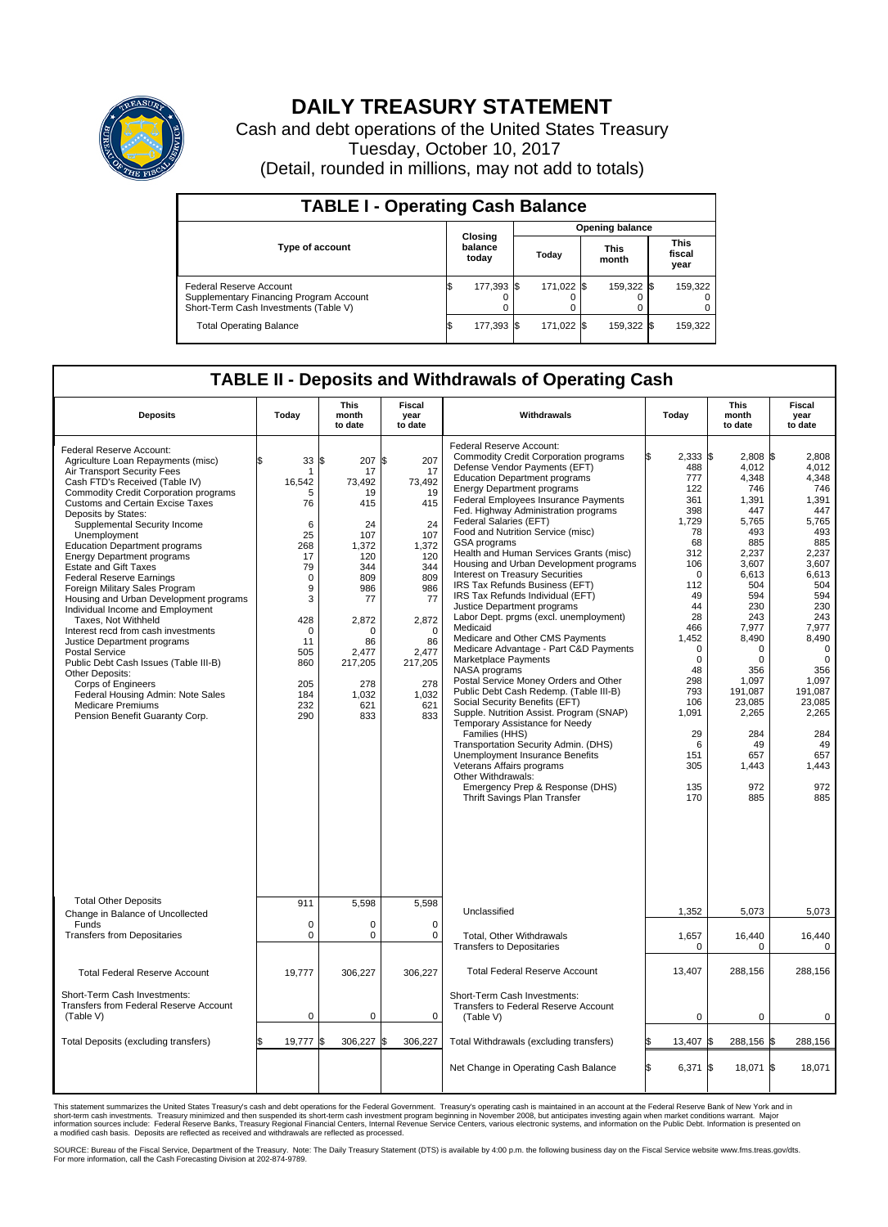

## **DAILY TREASURY STATEMENT**

Cash and debt operations of the United States Treasury Tuesday, October 10, 2017 (Detail, rounded in millions, may not add to totals)

| <b>TABLE I - Operating Cash Balance</b>                                                                     |  |                             |  |                        |  |                      |  |                               |  |  |  |
|-------------------------------------------------------------------------------------------------------------|--|-----------------------------|--|------------------------|--|----------------------|--|-------------------------------|--|--|--|
|                                                                                                             |  |                             |  | <b>Opening balance</b> |  |                      |  |                               |  |  |  |
| <b>Type of account</b>                                                                                      |  | Closing<br>balance<br>today |  | Today                  |  | <b>This</b><br>month |  | <b>This</b><br>fiscal<br>year |  |  |  |
| Federal Reserve Account<br>Supplementary Financing Program Account<br>Short-Term Cash Investments (Table V) |  | 177,393 \$                  |  | 171,022 \$             |  | 159,322 \$           |  | 159,322                       |  |  |  |
| <b>Total Operating Balance</b>                                                                              |  | 177,393 \$                  |  | 171.022 \\$            |  | 159,322 \$           |  | 159,322                       |  |  |  |

## **TABLE II - Deposits and Withdrawals of Operating Cash**

| <b>Deposits</b>                                                                                                                                                                                                                                                                                                                                                                                                                                                                                                                                                                                                                                                                                                                                                                                                                                                              | Today                                                                                                                                                           | <b>This</b><br>month<br>to date                                                                                                                                             | <b>Fiscal</b><br>year<br>to date                                                                                                                                            | Withdrawals                                                                                                                                                                                                                                                                                                                                                                                                                                                                                                                                                                                                                                                                                                                                                                                                                                                                                                                                                                                                                                                                                                                                                                                 | Today                                                                                                                                                                                                                                          | <b>This</b><br>month<br>to date                                                                                                                                                                                                                             | <b>Fiscal</b><br>year<br>to date                                                                                                                                                                                                                                      |
|------------------------------------------------------------------------------------------------------------------------------------------------------------------------------------------------------------------------------------------------------------------------------------------------------------------------------------------------------------------------------------------------------------------------------------------------------------------------------------------------------------------------------------------------------------------------------------------------------------------------------------------------------------------------------------------------------------------------------------------------------------------------------------------------------------------------------------------------------------------------------|-----------------------------------------------------------------------------------------------------------------------------------------------------------------|-----------------------------------------------------------------------------------------------------------------------------------------------------------------------------|-----------------------------------------------------------------------------------------------------------------------------------------------------------------------------|---------------------------------------------------------------------------------------------------------------------------------------------------------------------------------------------------------------------------------------------------------------------------------------------------------------------------------------------------------------------------------------------------------------------------------------------------------------------------------------------------------------------------------------------------------------------------------------------------------------------------------------------------------------------------------------------------------------------------------------------------------------------------------------------------------------------------------------------------------------------------------------------------------------------------------------------------------------------------------------------------------------------------------------------------------------------------------------------------------------------------------------------------------------------------------------------|------------------------------------------------------------------------------------------------------------------------------------------------------------------------------------------------------------------------------------------------|-------------------------------------------------------------------------------------------------------------------------------------------------------------------------------------------------------------------------------------------------------------|-----------------------------------------------------------------------------------------------------------------------------------------------------------------------------------------------------------------------------------------------------------------------|
| Federal Reserve Account:<br>Agriculture Loan Repayments (misc)<br>Air Transport Security Fees<br>Cash FTD's Received (Table IV)<br><b>Commodity Credit Corporation programs</b><br><b>Customs and Certain Excise Taxes</b><br>Deposits by States:<br>Supplemental Security Income<br>Unemployment<br><b>Education Department programs</b><br><b>Energy Department programs</b><br><b>Estate and Gift Taxes</b><br><b>Federal Reserve Earnings</b><br>Foreign Military Sales Program<br>Housing and Urban Development programs<br>Individual Income and Employment<br>Taxes, Not Withheld<br>Interest recd from cash investments<br>Justice Department programs<br><b>Postal Service</b><br>Public Debt Cash Issues (Table III-B)<br>Other Deposits:<br>Corps of Engineers<br>Federal Housing Admin: Note Sales<br><b>Medicare Premiums</b><br>Pension Benefit Guaranty Corp. | 33<br>\$<br>1<br>16,542<br>5<br>76<br>6<br>25<br>268<br>17<br>79<br>$\mathbf 0$<br>9<br>3<br>428<br>$\mathbf 0$<br>11<br>505<br>860<br>205<br>184<br>232<br>290 | 207<br>\$<br>17<br>73,492<br>19<br>415<br>24<br>107<br>1,372<br>120<br>344<br>809<br>986<br>77<br>2,872<br>$\Omega$<br>86<br>2,477<br>217,205<br>278<br>1,032<br>621<br>833 | \$<br>207<br>17<br>73,492<br>19<br>415<br>24<br>107<br>1,372<br>120<br>344<br>809<br>986<br>77<br>2,872<br>$\Omega$<br>86<br>2,477<br>217,205<br>278<br>1,032<br>621<br>833 | Federal Reserve Account:<br><b>Commodity Credit Corporation programs</b><br>Defense Vendor Payments (EFT)<br><b>Education Department programs</b><br><b>Energy Department programs</b><br><b>Federal Employees Insurance Payments</b><br>Fed. Highway Administration programs<br>Federal Salaries (EFT)<br>Food and Nutrition Service (misc)<br>GSA programs<br>Health and Human Services Grants (misc)<br>Housing and Urban Development programs<br>Interest on Treasury Securities<br>IRS Tax Refunds Business (EFT)<br>IRS Tax Refunds Individual (EFT)<br>Justice Department programs<br>Labor Dept. prgms (excl. unemployment)<br>Medicaid<br>Medicare and Other CMS Payments<br>Medicare Advantage - Part C&D Payments<br>Marketplace Payments<br>NASA programs<br>Postal Service Money Orders and Other<br>Public Debt Cash Redemp. (Table III-B)<br>Social Security Benefits (EFT)<br>Supple. Nutrition Assist. Program (SNAP)<br>Temporary Assistance for Needy<br>Families (HHS)<br>Transportation Security Admin. (DHS)<br>Unemployment Insurance Benefits<br>Veterans Affairs programs<br>Other Withdrawals:<br>Emergency Prep & Response (DHS)<br>Thrift Savings Plan Transfer | $2,333$ \$<br>488<br>777<br>122<br>361<br>398<br>1,729<br>78<br>68<br>312<br>106<br>$\Omega$<br>112<br>49<br>44<br>28<br>466<br>1,452<br>$\mathbf 0$<br>$\mathbf 0$<br>48<br>298<br>793<br>106<br>1,091<br>29<br>6<br>151<br>305<br>135<br>170 | 2.808 \$<br>4,012<br>4,348<br>746<br>1,391<br>447<br>5,765<br>493<br>885<br>2,237<br>3,607<br>6.613<br>504<br>594<br>230<br>243<br>7,977<br>8,490<br>$\Omega$<br>0<br>356<br>1,097<br>191,087<br>23,085<br>2,265<br>284<br>49<br>657<br>1,443<br>972<br>885 | 2.808<br>4,012<br>4,348<br>746<br>1.391<br>447<br>5,765<br>493<br>885<br>2,237<br>3,607<br>6.613<br>504<br>594<br>230<br>243<br>7,977<br>8,490<br>$\mathbf 0$<br>$\mathbf 0$<br>356<br>1,097<br>191,087<br>23,085<br>2,265<br>284<br>49<br>657<br>1,443<br>972<br>885 |
| <b>Total Other Deposits</b><br>Change in Balance of Uncollected                                                                                                                                                                                                                                                                                                                                                                                                                                                                                                                                                                                                                                                                                                                                                                                                              | 911                                                                                                                                                             | 5,598                                                                                                                                                                       | 5,598                                                                                                                                                                       | Unclassified                                                                                                                                                                                                                                                                                                                                                                                                                                                                                                                                                                                                                                                                                                                                                                                                                                                                                                                                                                                                                                                                                                                                                                                | 1,352                                                                                                                                                                                                                                          | 5,073                                                                                                                                                                                                                                                       | 5,073                                                                                                                                                                                                                                                                 |
| Funds<br><b>Transfers from Depositaries</b>                                                                                                                                                                                                                                                                                                                                                                                                                                                                                                                                                                                                                                                                                                                                                                                                                                  | $\mathbf 0$<br>$\mathbf 0$                                                                                                                                      | 0<br>0                                                                                                                                                                      | $\mathbf 0$<br>$\mathbf 0$                                                                                                                                                  | Total, Other Withdrawals<br><b>Transfers to Depositaries</b>                                                                                                                                                                                                                                                                                                                                                                                                                                                                                                                                                                                                                                                                                                                                                                                                                                                                                                                                                                                                                                                                                                                                | 1,657<br>$\Omega$                                                                                                                                                                                                                              | 16,440<br>$\Omega$                                                                                                                                                                                                                                          | 16,440<br>$\Omega$                                                                                                                                                                                                                                                    |
| <b>Total Federal Reserve Account</b>                                                                                                                                                                                                                                                                                                                                                                                                                                                                                                                                                                                                                                                                                                                                                                                                                                         | 19,777                                                                                                                                                          | 306,227                                                                                                                                                                     | 306,227                                                                                                                                                                     | <b>Total Federal Reserve Account</b>                                                                                                                                                                                                                                                                                                                                                                                                                                                                                                                                                                                                                                                                                                                                                                                                                                                                                                                                                                                                                                                                                                                                                        | 13,407                                                                                                                                                                                                                                         | 288,156                                                                                                                                                                                                                                                     | 288,156                                                                                                                                                                                                                                                               |
| Short-Term Cash Investments:<br>Transfers from Federal Reserve Account<br>(Table V)                                                                                                                                                                                                                                                                                                                                                                                                                                                                                                                                                                                                                                                                                                                                                                                          | $\pmb{0}$                                                                                                                                                       | 0                                                                                                                                                                           | 0                                                                                                                                                                           | Short-Term Cash Investments:<br>Transfers to Federal Reserve Account<br>(Table V)                                                                                                                                                                                                                                                                                                                                                                                                                                                                                                                                                                                                                                                                                                                                                                                                                                                                                                                                                                                                                                                                                                           | $\mathbf 0$                                                                                                                                                                                                                                    | 0                                                                                                                                                                                                                                                           | 0                                                                                                                                                                                                                                                                     |
| Total Deposits (excluding transfers)                                                                                                                                                                                                                                                                                                                                                                                                                                                                                                                                                                                                                                                                                                                                                                                                                                         | 19,777                                                                                                                                                          | 306,227<br>\$                                                                                                                                                               | \$<br>306,227                                                                                                                                                               | Total Withdrawals (excluding transfers)                                                                                                                                                                                                                                                                                                                                                                                                                                                                                                                                                                                                                                                                                                                                                                                                                                                                                                                                                                                                                                                                                                                                                     | 13,407<br>\$                                                                                                                                                                                                                                   | 288,156 \$<br>l\$                                                                                                                                                                                                                                           | 288,156                                                                                                                                                                                                                                                               |
|                                                                                                                                                                                                                                                                                                                                                                                                                                                                                                                                                                                                                                                                                                                                                                                                                                                                              |                                                                                                                                                                 |                                                                                                                                                                             |                                                                                                                                                                             | Net Change in Operating Cash Balance                                                                                                                                                                                                                                                                                                                                                                                                                                                                                                                                                                                                                                                                                                                                                                                                                                                                                                                                                                                                                                                                                                                                                        | Ŝ.<br>6,371 \$                                                                                                                                                                                                                                 | 18,071                                                                                                                                                                                                                                                      | l\$<br>18,071                                                                                                                                                                                                                                                         |

This statement summarizes the United States Treasury's cash and debt operations for the Federal Government. Treasury's operating cash is maintained in an account at the Federal Reserve Bank of New York and in<br>short-term ca

SOURCE: Bureau of the Fiscal Service, Department of the Treasury. Note: The Daily Treasury Statement (DTS) is available by 4:00 p.m. the following business day on the Fiscal Service website www.fms.treas.gov/dts.<br>For more